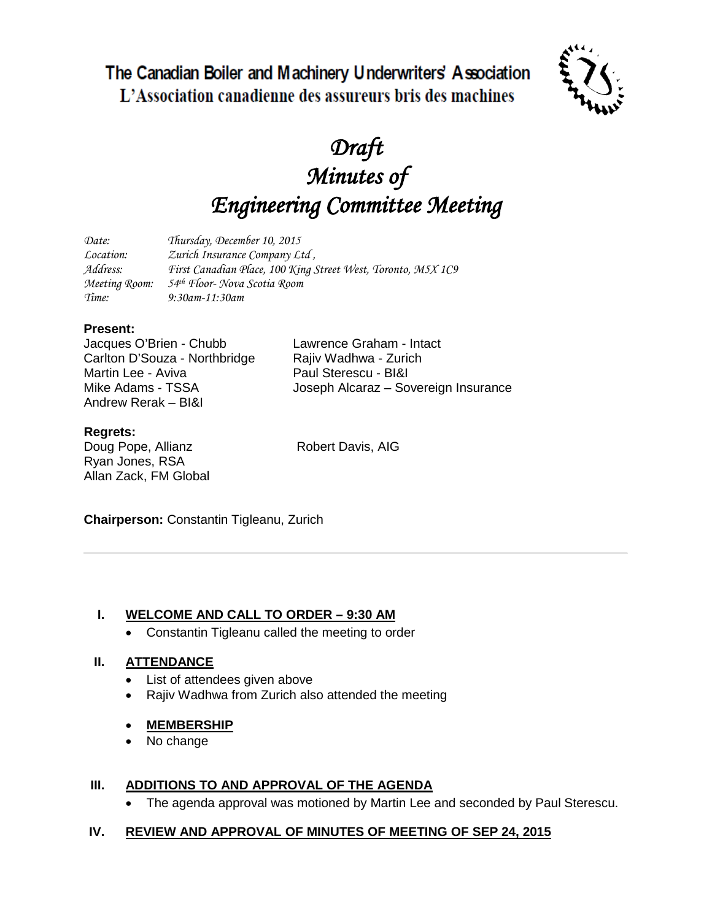The Canadian Boiler and Machinery Underwriters' Association L'Association canadienne des assureurs bris des machines



# *Draft Minutes of Engineering Committee Meeting*

| Date:            | Thursday, December 10, 2015                                  |
|------------------|--------------------------------------------------------------|
| <i>Location:</i> | Zurich Insurance Company Ltd,                                |
| Address:         | First Canadian Place, 100 King Street West, Toronto, M5X 1C9 |
| Meeting Room:    | 54 <sup>th</sup> Floor- Nova Scotia Room                     |
| Time:            | $9:30$ am-11:30am                                            |

### **Present:**

Jacques O'Brien - Chubb Lawrence Graham - Intact<br>Carlton D'Souza - Northbridge Raiiv Wadhwa - Zurich Carlton D'Souza - Northbridge<br>Martin Lee - Aviva Andrew Rerak – BI&I

Paul Sterescu - BI&I Mike Adams - TSSA Joseph Alcaraz – Sovereign Insurance

## **Regrets:**

Doug Pope, Allianz Robert Davis, AIG Ryan Jones, RSA Allan Zack, FM Global

**Chairperson:** Constantin Tigleanu, Zurich

## **I. WELCOME AND CALL TO ORDER – 9:30 AM**

• Constantin Tigleanu called the meeting to order

### **II. ATTENDANCE**

- List of attendees given above
- Rajiv Wadhwa from Zurich also attended the meeting

#### • **MEMBERSHIP**

• No change

### **III. ADDITIONS TO AND APPROVAL OF THE AGENDA**

• The agenda approval was motioned by Martin Lee and seconded by Paul Sterescu.

### **IV. REVIEW AND APPROVAL OF MINUTES OF MEETING OF SEP 24, 2015**